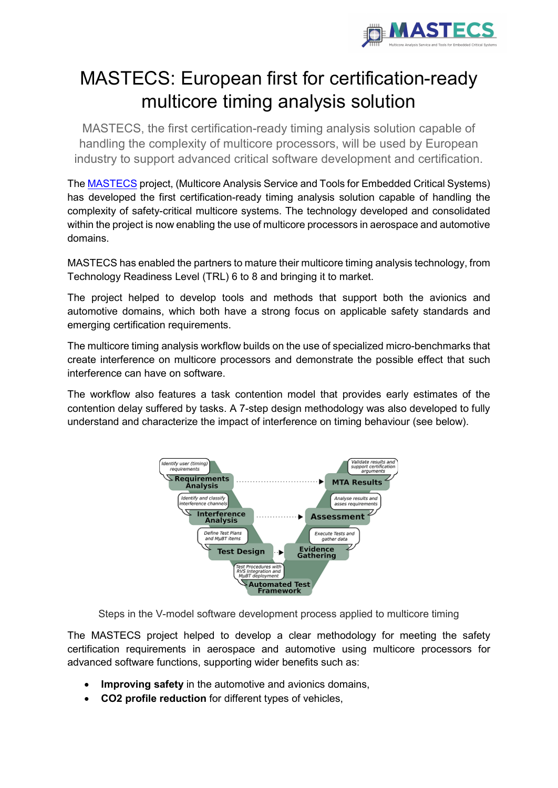

## MASTECS: European first for certification-ready multicore timing analysis solution

MASTECS, the first certification-ready timing analysis solution capable of handling the complexity of multicore processors, will be used by European industry to support advanced critical software development and certification.

Th[e MASTECS](https://mastecs-project.eu/) project, (Multicore Analysis Service and Tools for Embedded Critical Systems) has developed the first certification-ready timing analysis solution capable of handling the complexity of safety-critical multicore systems. The technology developed and consolidated within the project is now enabling the use of multicore processors in aerospace and automotive domains.

MASTECS has enabled the partners to mature their multicore timing analysis technology, from Technology Readiness Level (TRL) 6 to 8 and bringing it to market.

The project helped to develop tools and methods that support both the avionics and automotive domains, which both have a strong focus on applicable safety standards and emerging certification requirements.

The multicore timing analysis workflow builds on the use of specialized micro-benchmarks that create interference on multicore processors and demonstrate the possible effect that such interference can have on software.

The workflow also features a task contention model that provides early estimates of the contention delay suffered by tasks. A 7-step design methodology was also developed to fully understand and characterize the impact of interference on timing behaviour (see below).



Steps in the V-model software development process applied to multicore timing

The MASTECS project helped to develop a clear methodology for meeting the safety certification requirements in aerospace and automotive using multicore processors for advanced software functions, supporting wider benefits such as:

- **Improving safety** in the automotive and avionics domains,
- **CO2 profile reduction** for different types of vehicles,